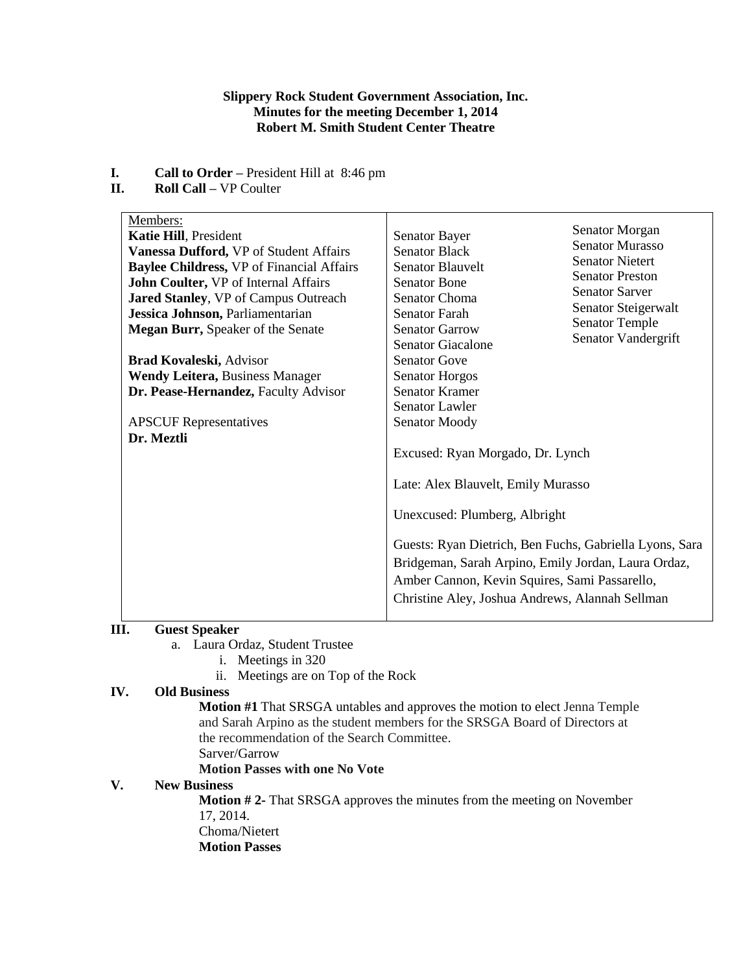## **Slippery Rock Student Government Association, Inc. Minutes for the meeting December 1, 2014 Robert M. Smith Student Center Theatre**

- **I. Call to Order –** President Hill at 8:46 pm
- **II. Roll Call –** VP Coulter

| Members:<br>Katie Hill, President<br>Vanessa Dufford, VP of Student Affairs<br><b>Baylee Childress, VP of Financial Affairs</b><br>John Coulter, VP of Internal Affairs<br>Jared Stanley, VP of Campus Outreach<br>Jessica Johnson, Parliamentarian<br><b>Megan Burr, Speaker of the Senate</b><br>Brad Kovaleski, Advisor<br><b>Wendy Leitera, Business Manager</b><br>Dr. Pease-Hernandez, Faculty Advisor<br><b>APSCUF</b> Representatives<br>Dr. Meztli | Senator Morgan<br>Senator Bayer<br><b>Senator Murasso</b><br><b>Senator Black</b><br><b>Senator Nietert</b><br><b>Senator Blauvelt</b><br><b>Senator Preston</b><br><b>Senator Bone</b><br><b>Senator Sarver</b><br><b>Senator Choma</b><br>Senator Steigerwalt<br><b>Senator Farah</b><br><b>Senator Temple</b><br><b>Senator Garrow</b><br>Senator Vandergrift<br><b>Senator Giacalone</b><br><b>Senator Gove</b><br><b>Senator Horgos</b><br><b>Senator Kramer</b><br>Senator Lawler<br>Senator Moody<br>Excused: Ryan Morgado, Dr. Lynch<br>Late: Alex Blauvelt, Emily Murasso<br>Unexcused: Plumberg, Albright<br>Guests: Ryan Dietrich, Ben Fuchs, Gabriella Lyons, Sara<br>Bridgeman, Sarah Arpino, Emily Jordan, Laura Ordaz,<br>Amber Cannon, Kevin Squires, Sami Passarello,<br>Christine Aley, Joshua Andrews, Alannah Sellman |
|-------------------------------------------------------------------------------------------------------------------------------------------------------------------------------------------------------------------------------------------------------------------------------------------------------------------------------------------------------------------------------------------------------------------------------------------------------------|-------------------------------------------------------------------------------------------------------------------------------------------------------------------------------------------------------------------------------------------------------------------------------------------------------------------------------------------------------------------------------------------------------------------------------------------------------------------------------------------------------------------------------------------------------------------------------------------------------------------------------------------------------------------------------------------------------------------------------------------------------------------------------------------------------------------------------------------|

# **III. Guest Speaker**

- a. Laura Ordaz, Student Trustee
	- i. Meetings in 320
	- ii. Meetings are on Top of the Rock

## **IV. Old Business**

**Motion #1** That SRSGA untables and approves the motion to elect Jenna Temple and Sarah Arpino as the student members for the SRSGA Board of Directors at the recommendation of the Search Committee. Sarver/Garrow

**Motion Passes with one No Vote**

## **V. New Business**

**Motion # 2-** That SRSGA approves the minutes from the meeting on November 17, 2014.

Choma/Nietert

**Motion Passes**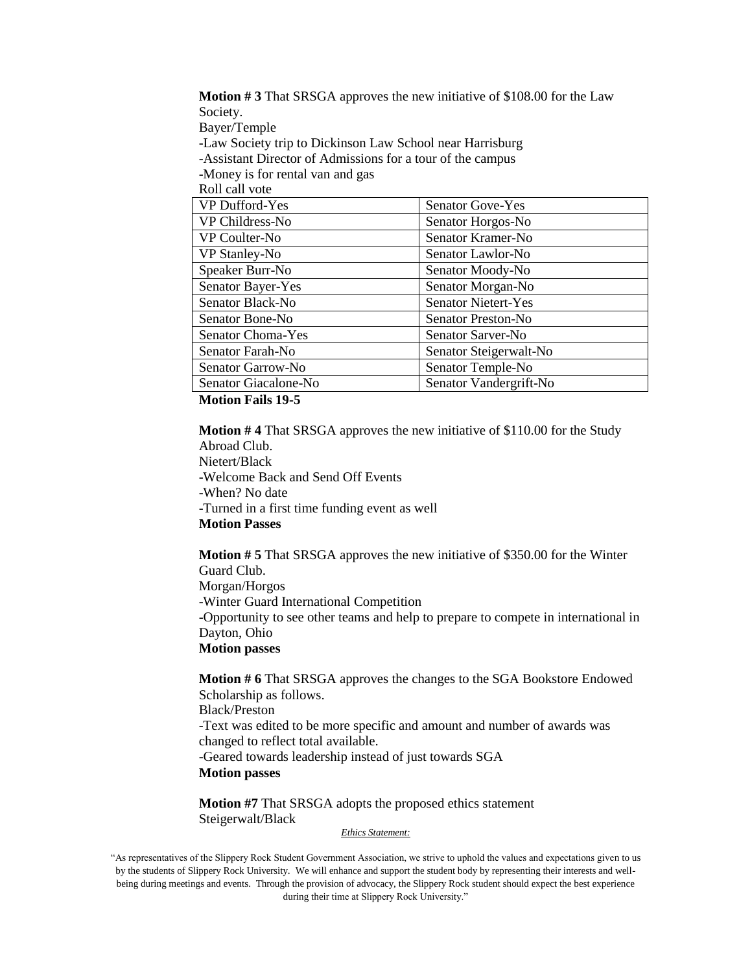**Motion # 3** That SRSGA approves the new initiative of \$108.00 for the Law Society. Bayer/Temple

-Law Society trip to Dickinson Law School near Harrisburg

-Assistant Director of Admissions for a tour of the campus

-Money is for rental van and gas

Roll call vote

| VP Dufford-Yes           | <b>Senator Gove-Yes</b>    |
|--------------------------|----------------------------|
| VP Childress-No          | Senator Horgos-No          |
| VP Coulter-No            | Senator Kramer-No          |
| VP Stanley-No            | Senator Lawlor-No          |
| Speaker Burr-No          | Senator Moody-No           |
| <b>Senator Bayer-Yes</b> | Senator Morgan-No          |
| Senator Black-No         | <b>Senator Nietert-Yes</b> |
| Senator Bone-No          | Senator Preston-No         |
| <b>Senator Choma-Yes</b> | Senator Sarver-No          |
| Senator Farah-No         | Senator Steigerwalt-No     |
| Senator Garrow-No        | Senator Temple-No          |
| Senator Giacalone-No     | Senator Vandergrift-No     |

**Motion Fails 19-5**

**Motion # 4** That SRSGA approves the new initiative of \$110.00 for the Study Abroad Club.

Nietert/Black -Welcome Back and Send Off Events -When? No date -Turned in a first time funding event as well **Motion Passes**

**Motion # 5** That SRSGA approves the new initiative of \$350.00 for the Winter Guard Club. Morgan/Horgos -Winter Guard International Competition -Opportunity to see other teams and help to prepare to compete in international in Dayton, Ohio **Motion passes**

**Motion # 6** That SRSGA approves the changes to the SGA Bookstore Endowed Scholarship as follows. Black/Preston -Text was edited to be more specific and amount and number of awards was changed to reflect total available. -Geared towards leadership instead of just towards SGA **Motion passes**

**Motion #7** That SRSGA adopts the proposed ethics statement Steigerwalt/Black

*Ethics Statement:*

<sup>&</sup>quot;As representatives of the Slippery Rock Student Government Association, we strive to uphold the values and expectations given to us by the students of Slippery Rock University. We will enhance and support the student body by representing their interests and wellbeing during meetings and events. Through the provision of advocacy, the Slippery Rock student should expect the best experience during their time at Slippery Rock University."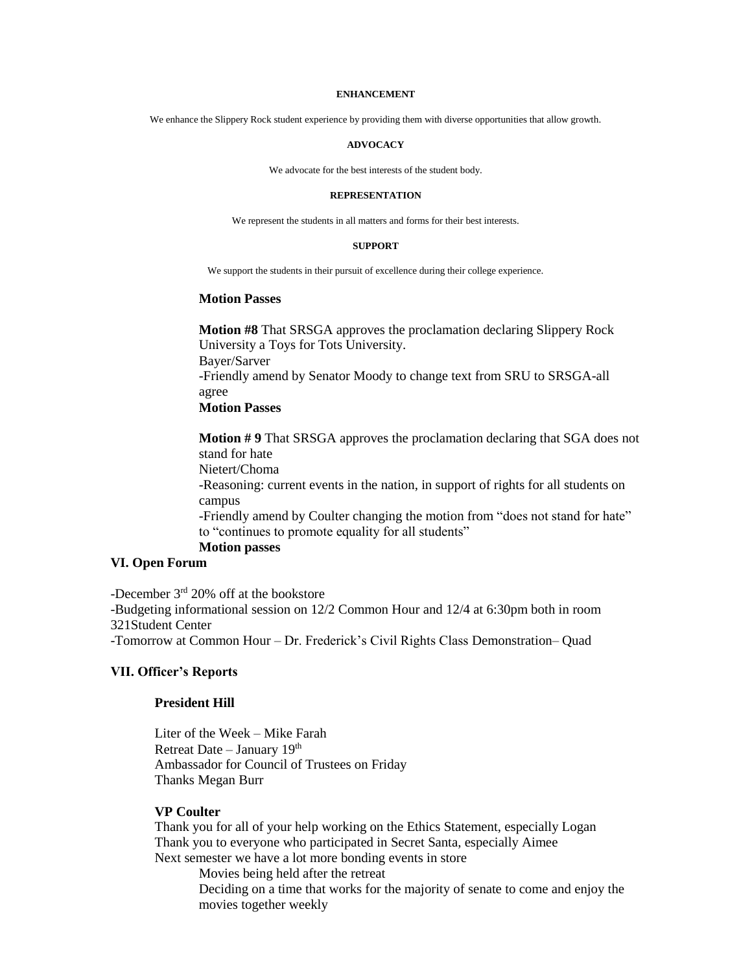#### **ENHANCEMENT**

We enhance the Slippery Rock student experience by providing them with diverse opportunities that allow growth.

#### **ADVOCACY**

We advocate for the best interests of the student body.

#### **REPRESENTATION**

We represent the students in all matters and forms for their best interests.

#### **SUPPORT**

We support the students in their pursuit of excellence during their college experience.

#### **Motion Passes**

**Motion #8** That SRSGA approves the proclamation declaring Slippery Rock University a Toys for Tots University. Bayer/Sarver -Friendly amend by Senator Moody to change text from SRU to SRSGA-all agree **Motion Passes** 

**Motion # 9** That SRSGA approves the proclamation declaring that SGA does not stand for hate Nietert/Choma -Reasoning: current events in the nation, in support of rights for all students on campus -Friendly amend by Coulter changing the motion from "does not stand for hate" to "continues to promote equality for all students"

### **Motion passes**

### **VI. Open Forum**

-December  $3<sup>rd</sup> 20%$  off at the bookstore

-Budgeting informational session on 12/2 Common Hour and 12/4 at 6:30pm both in room 321Student Center

-Tomorrow at Common Hour – Dr. Frederick's Civil Rights Class Demonstration– Quad

### **VII. Officer's Reports**

#### **President Hill**

Liter of the Week – Mike Farah Retreat Date – January 19th Ambassador for Council of Trustees on Friday Thanks Megan Burr

### **VP Coulter**

Thank you for all of your help working on the Ethics Statement, especially Logan Thank you to everyone who participated in Secret Santa, especially Aimee Next semester we have a lot more bonding events in store

Movies being held after the retreat

Deciding on a time that works for the majority of senate to come and enjoy the movies together weekly